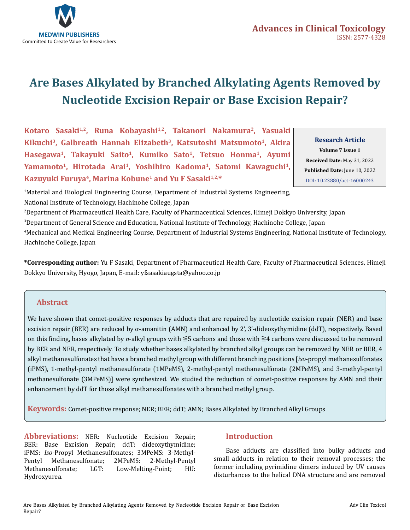

# **Are Bases Alkylated by Branched Alkylating Agents Removed by Nucleotide Excision Repair or Base Excision Repair?**

Kotaro Sasaki<sup>1,2</sup>, Runa Kobayashi<sup>1,2</sup>, Takanori Nakamura<sup>2</sup>, Yasuaki **Kikuchi3, Galbreath Hannah Elizabeth3, Katsutoshi Matsumoto1, Akira Hasegawa1, Takayuki Saito1, Kumiko Sato1, Tetsuo Honma1, Ayumi**  Yamamoto<sup>1</sup>, Hirotada Arai<sup>1</sup>, Yoshihiro Kadoma<sup>1</sup>, Satomi Kawaguchi<sup>1</sup>, Kazuyuki Furuya<sup>4</sup>, Marina Kobune<sup>1</sup> and Yu F Sasaki<sup>1,2,\*</sup>

**Research Article Volume 7 Issue 1 Received Date:** May 31, 2022 **Published Date:** June 10, 2022 [DOI: 10.23880/act-16000243](htps://doi.org/10.23880/act-16000243)

1 Material and Biological Engineering Course, Department of Industrial Systems Engineering, National Institute of Technology, Hachinohe College, Japan

 Department of Pharmaceutical Health Care, Faculty of Pharmaceutical Sciences, Himeji Dokkyo University, Japan Department of General Science and Education, National Institute of Technology, Hachinohe College, Japan Mechanical and Medical Engineering Course, Department of Industrial Systems Engineering, National Institute of Technology, Hachinohe College, Japan

**\*Corresponding author:** Yu F Sasaki, Department of Pharmaceutical Health Care, Faculty of Pharmaceutical Sciences, Himeji Dokkyo University, Hyogo, Japan, E-mail: yfsasakiaugsta@yahoo.co.jp

# **Abstract**

We have shown that comet-positive responses by adducts that are repaired by nucleotide excision repair (NER) and base excision repair (BER) are reduced by  $\alpha$ -amanitin (AMN) and enhanced by 2', 3'-dideoxythymidine (ddT), respectively. Based on this finding, bases alkylated by *n*-alkyl groups with ≦5 carbons and those with ≧4 carbons were discussed to be removed by BER and NER, respectively. To study whether bases alkylated by branched alkyl groups can be removed by NER or BER, 4 alkyl methanesulfonates that have a branched methyl group with different branching positions [*iso*-propyl methanesulfonates (iPMS), 1-methyl-pentyl methanesulfonate (1MPeMS), 2-methyl-pentyl methanesulfonate (2MPeMS), and 3-methyl-pentyl methanesulfonate (3MPeMS)] were synthesized. We studied the reduction of comet-positive responses by AMN and their enhancement by ddT for those alkyl methanesulfonates with a branched methyl group.

**Keywords:** Comet-positive response; NER; BER; ddT; AMN; Bases Alkylated by Branched Alkyl Groups

**Abbreviations:** NER: Nucleotide Excision Repair; BER: Base Excision Repair; ddT: dideoxythymidine; iPMS: *Iso*-Propyl Methanesulfonates; 3MPeMS: 3-Methyl-Pentyl Methanesulfonate; 2MPeMS: 2-Methyl-Pentyl Low-Melting-Point; Hydroxyurea.

# **Introduction**

Base adducts are classified into bulky adducts and small adducts in relation to their removal processes; the former including pyrimidine dimers induced by UV causes disturbances to the helical DNA structure and are removed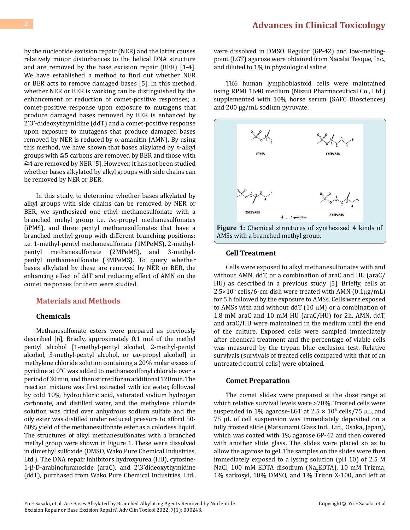by the nucleotide excision repair (NER) and the latter causes relatively minor disturbances to the helical DNA structure and are removed by the base excision repair (BER) [1-4]. We have established a method to find out whether NER or BER acts to remove damaged bases [5]. In this method, whether NER or BER is working can be distinguished by the enhancement or reduction of comet-positive responses; a comet-positive response upon exposure to mutagens that produce damaged bases removed by BER is enhanced by 2',3'-dideoxythymidine (ddT) and a comet-positive response upon exposure to mutagens that produce damaged bases removed by NER is reduced by  $\alpha$ -amanitin (AMN). By using this method, we have shown that bases alkylated by *n*-alkyl groups with ≦5 carbons are removed by BER and those with ≧4 are removed by NER [5]. However, it has not been studied whether bases alkylated by alkyl groups with side chains can be removed by NER or BER.

In this study, to determine whether bases alkylated by alkyl groups with side chains can be removed by NER or BER, we synthesized one ethyl methanesulfonate with a branched mehyl group i.e. *iso*-propyl methanesulfonates (iPMS), and three pentyl methanesulfonates that have a branched methyl group with different branching positions: i.e. 1-methyl-pentyl methanesulfonate (1MPeMS), 2-methylpentyl methanesulfonate (2MPeMS), and 3-methylpentyl methanesulfonate (3MPeMS). To query whether bases alkylated by these are removed by NER or BER, the enhancing effect of ddT and reducing effect of AMN on the comet responses for them were studied.

#### **Materials and Methods**

#### **Chemicals**

Methanesulfonate esters were prepared as previously described [6], Briefly, approximately 0.1 mol of the methyl pentyl alcohol [1-methyl-pentyl alcohol, 2-methyl-pentyl alcohol, 3-methyl-pentyl alcohol, or *iso*-propyl alcohol] in methylene chloride solution containing a 20% molar excess of pyridine at 0°C was added to methanesulfonyl chloride over a period of 30 min, and then stirred for an additional 120 min. The reaction mixture was first extracted with ice water, followed by cold 10% hydrochloric acid, saturated sodium hydrogen carbonate, and distilled water, and the methylene chloride solution was dried over anhydrous sodium sulfate and the oily ester was distilled under reduced pressure to afford 50- 60% yield of the methanesulfonate ester as a colorless liquid. The structures of alkyl methanesulfonates with a branched methyl group were shown in Figure 1. These were dissolved in dimethyl sulfoxide (DMSO, Wako Pure Chemical Industries, Ltd.). The DNA repair inhibitors hydroxyurea (HU), cytosine-1-β-D-arabinofuranoside (araC), and 2',3'dideoxythymidine (ddT), purchased from Wako Pure Chemical Industries, Ltd.,

# **2 [Advances in Clinical Toxicology](https://medwinpublishers.com/ACT/)**

were dissolved in DMSO. Regular (GP-42) and low-meltingpoint (LGT) agarose were obtained from Nacalai Tesque, Inc., and diluted to 1% in physiological saline.

TK6 human lymphoblastoid cells were maintained using RPMI 1640 medium (Nissui Pharmaceutical Co., Ltd.) supplemented with 10% horse serum (SAFC Biosciences) and 200 µg/mL sodium pyruvate.



#### **Cell Treatment**

Cells were exposed to alkyl methanesulfonates with and without AMN, ddT, or a combination of araC and HU (araC/ HU) as described in a previous study [5]. Briefly, cells at  $2.5\times10^6$  cells/6-cm dish were treated with AMN ( $0.1\mu$ g/mL) for 5 h followed by the exposure to AMSs. Cells were exposed to AMSs with and without ddT  $(10 \mu)$  or a combination of 1.8 mM araC and 10 mM HU (araC/HU) for 2h. AMN, ddT, and araC/HU were maintained in the medium until the end of the culture. Exposed cells were sampled immediately after chemical treatment and the percentage of viable cells was measured by the trypan blue exclusion test. Relative survivals (survivals of treated cells compared with that of an untreated control cells) were obtained.

#### **Comet Preparation**

The comet slides were prepared at the dose range at which relative survival levels were >70%. Treated cells were suspended in 1% agarose-LGT at 2.5  $\times$  10<sup>6</sup> cells/75  $\mu$ L, and 75 µL of cell suspension was immediately deposited on a fully frosted slide (Matsunami Glass Ind., Ltd., Osaka, Japan), which was coated with 1% agarose GP-42 and then covered with another slide glass. The slides were placed so as to allow the agarose to gel. The samples on the slides were then immediately exposed to a lysing solution (pH 10) of 2.5 M NaCl, 100 mM EDTA disodium (Na<sub>2</sub>EDTA), 10 mM Trizma, 1% sarkosyl, 10% DMSO, and 1% Triton X-100, and left at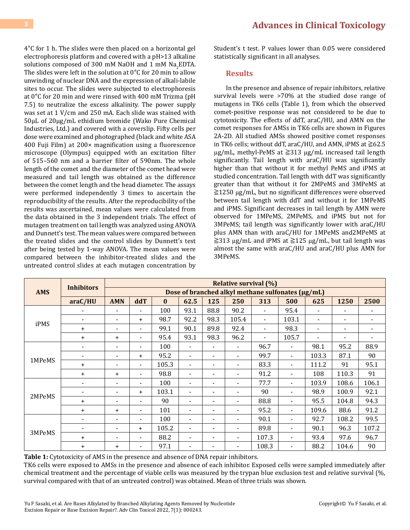**3 [Advances in Clinical Toxicology](https://medwinpublishers.com/ACT/)**

4°C for 1 h. The slides were then placed on a horizontal gel electrophoresis platform and covered with a pH>13 alkaline solutions composed of 300 mM NaOH and  $1$  mM Na<sub>2</sub>EDTA. The slides were left in the solution at 0°C for 20 min to allow unwinding of nuclear DNA and the expression of alkali-labile sites to occur. The slides were subjected to electrophoresis at 0°C for 20 min and were rinsed with 400 mM Trizma (pH 7.5) to neutralize the excess alkalinity. The power supply was set at 1 V/cm and 250 mA. Each slide was stained with 50µL of 20µg/mL ethidium bromide (Wako Pure Chemical Industries, Ltd.) and covered with a coverslip. Fifty cells per dose were examined and photographed (black and white ASA 400 Fuji Film) at 200× magnification using a fluorescence microscope (Olympus) equipped with an excitation filter of 515–560 nm and a barrier filter of 590nm. The whole length of the comet and the diameter of the comet head were measured and tail length was obtained as the difference between the comet length and the head diameter. The assays were performed independently 3 times to ascertain the reproducibility of the results. After the reproducibility of the results was ascertained, mean values were calculated from the data obtained in the 3 independent trials. The effect of mutagen treatment on tail length was analyzed using ANOVA and Dunnett's test. The mean values were compared between the treated slides and the control slides by Dunnett's test after being tested by 1-way ANOVA. The mean values were compared between the inhibitor-treated slides and the untreated control slides at each mutagen concentration by Student's t test. P values lower than 0.05 were considered statistically significant in all analyses.

#### **Results**

In the presence and absence of repair inhibitors, relative survival levels were >70% at the studied dose range of mutagens in TK6 cells (Table 1), from which the observed comet-positive response was not considered to be due to cytotoxicity. The effects of ddT, araC/HU, and AMN on the comet responses for AMSs in TK6 cells are shown in Figures 2A-2D. All studied AMSs showed positive comet responses in TK6 cells; without ddT, araC/HU, and AMN, iPMS at  $\geq 62.5$ µg/mL, methyl-PeMS at ≧313 µg/mL increased tail length significantly. Tail length with araC/HU was significantly higher than that without it for methyl PeMS and iPMS at studied concentration. Tail length with ddT was significantly greater than that without it for 2MPeMS and 3MPeMS at ≧1250 µg/mL, but no significant differences were observed between tail length with ddT and without it for 1MPeMS and iPMS. Significant decreases in tail length by AMN were observed for 1MPeMS, 2MPeMS, and iPMS but not for 3MPeMS; tail length was significantly lower with araC/HU plus AMN than with araC/HU for 1MPeMS and2MPeMS at  $\geq$ 313 µg/mL and iPMS at  $\geq$ 125 µg/mL, but tail length was almost the same with araC/HU and araC/HU plus AMN for 3MPeMS.

| <b>AMS</b> | <b>Inhibitors</b>        | <b>Relative survival (%)</b>                      |                          |              |                          |                          |                          |                |                          |                          |                          |                          |
|------------|--------------------------|---------------------------------------------------|--------------------------|--------------|--------------------------|--------------------------|--------------------------|----------------|--------------------------|--------------------------|--------------------------|--------------------------|
|            |                          | Dose of branched alkyl methane sulfonates (µg/mL) |                          |              |                          |                          |                          |                |                          |                          |                          |                          |
|            | araC/HU                  | <b>AMN</b>                                        | ddT                      | $\mathbf{0}$ | 62.5                     | 125                      | 250                      | 313            | 500                      | 625                      | 1250                     | 2500                     |
| iPMS       |                          | $\blacksquare$                                    | $\blacksquare$           | 100          | 93.1                     | 88.8                     | 90.2                     |                | 95.4                     |                          | $\blacksquare$           |                          |
|            | $\blacksquare$           | $\overline{\phantom{a}}$                          | $\ddot{}$                | 98.7         | 92.2                     | 98.3                     | 105.4                    | $\blacksquare$ | 103.1                    | $\overline{\phantom{a}}$ | $\overline{\phantom{a}}$ |                          |
|            | $\ddot{}$                | $\overline{\phantom{a}}$                          | $\blacksquare$           | 99.1         | 90.1                     | 89.8                     | 92.4                     |                | 98.3                     | $\blacksquare$           | $\blacksquare$           |                          |
|            | $+$                      | $\ddot{}$                                         | $\blacksquare$           | 95.4         | 93.1                     | 98.3                     | 96.2                     |                | 105.7                    |                          |                          | $\overline{\phantom{a}}$ |
| 1MPeMS     |                          | $\overline{\phantom{a}}$                          | $\overline{\phantom{a}}$ | 100          | $\overline{\phantom{a}}$ | $\overline{\phantom{a}}$ |                          | 96.7           | $\blacksquare$           | 98.1                     | 95.2                     | 88.9                     |
|            |                          | $\blacksquare$                                    | $+$                      | 95.2         | $\overline{\phantom{a}}$ | $\blacksquare$           |                          | 99.7           | $\blacksquare$           | 103.3                    | 87.1                     | 90                       |
|            | $\ddot{}$                | ۰                                                 | $\overline{\phantom{a}}$ | 105.3        | $\overline{\phantom{a}}$ | $\overline{\phantom{a}}$ | $\overline{\phantom{0}}$ | 83.3           | $\blacksquare$           | 111.2                    | 91                       | 95.1                     |
|            | $\ddot{}$                | $\ddot{}$                                         | ۰                        | 98.8         | $\overline{\phantom{a}}$ |                          |                          | 91.2           |                          | 108                      | 110.3                    | 91                       |
| 2MPeMS     |                          | $\overline{\phantom{a}}$                          | $\overline{\phantom{a}}$ | 100          | $\overline{\phantom{a}}$ | -                        | $\blacksquare$           | 77.7           | $\overline{\phantom{a}}$ | 103.9                    | 108.6                    | 106.1                    |
|            | $\overline{\phantom{a}}$ | ٠                                                 | $\ddot{}$                | 103.1        | $\overline{\phantom{a}}$ | ۰                        |                          | 90             | $\blacksquare$           | 98.9                     | 100.9                    | 92.1                     |
|            | $\ddot{}$                | $\overline{\phantom{a}}$                          | ۰                        | 90           | $\blacksquare$           | ۰                        | $\overline{\phantom{0}}$ | 88.8           | $\blacksquare$           | 95.5                     | 104.8                    | 94.3                     |
|            | $+$                      | $\ddot{}$                                         | ۰                        | 101          | $\blacksquare$           | ۰                        |                          | 95.2           | $\blacksquare$           | 109.6                    | 88.6                     | 91.2                     |
| 3MPeMS     |                          | ۰                                                 | ۰                        | 100          | $\blacksquare$           | ۰                        | $\blacksquare$           | 90.1           | $\blacksquare$           | 92.7                     | 108.2                    | 99.5                     |
|            |                          |                                                   | $\ddot{}$                | 105.2        | $\overline{\phantom{a}}$ | ۰                        |                          | 89.8           |                          | 90.1                     | 96.3                     | 107.2                    |
|            | $\ddot{}$                | ٠                                                 | $\overline{\phantom{a}}$ | 88.2         | $\overline{\phantom{a}}$ | -                        | $\blacksquare$           | 107.3          | $\blacksquare$           | 93.4                     | 97.6                     | 96.7                     |
|            | $\ddot{}$                | $\ddot{}$                                         | ۰                        | 97.1         | $\blacksquare$           | -                        | $\blacksquare$           | 108.3          | $\overline{\phantom{a}}$ | 88.2                     | 104.6                    | 90                       |

**Table 1:** Cytotoxicity of AMS in the presence and absence of DNA repair inhibitors.

TK6 cells were exposed to AMSs in the presence and absence of each inhibitor. Exposed cells were sampled immediately after chemical treatment and the percentage of viable cells was measured by the trypan blue exclusion test and relative survival (%, survival compared with that of an untreated control) was obtained. Mean of three trials was shown.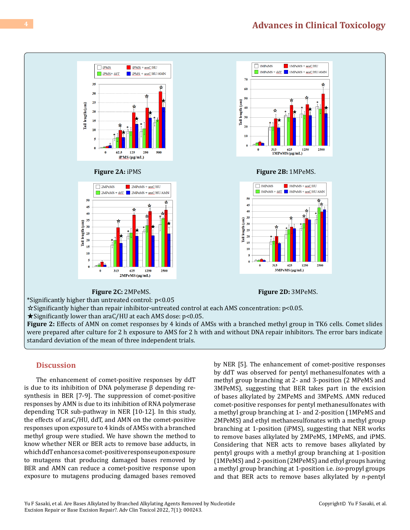# **4 [Advances in Clinical Toxicology](https://medwinpublishers.com/ACT/)**



★Significantly lower than araC/HU at each AMS dose: p<0.05.

**Figure 2:** Effects of AMN on comet responses by 4 kinds of AMSs with a branched methyl group in TK6 cells. Comet slides were prepared after culture for 2 h exposure to AMS for 2 h with and without DNA repair inhibitors. The error bars indicate standard deviation of the mean of three independent trials.

### **Discussion**

The enhancement of comet-positive responses by ddT is due to its inhibition of DNA polymerase β depending resynthesis in BER [7-9]. The suppression of comet-positive responses by AMN is due to its inhibition of RNA polymerase depending TCR sub-pathway in NER [10-12]. In this study, the effects of araC/HU, ddT, and AMN on the comet-positive responses upon exposure to 4 kinds of AMSs with a branched methyl group were studied. We have shown the method to know whether NER or BER acts to remove base adducts, in which ddT enhances a comet-positive response upon exposure to mutagens that producing damaged bases removed by BER and AMN can reduce a comet-positive response upon exposure to mutagens producing damaged bases removed

by NER [5]. The enhancement of comet-positive responses by ddT was observed for pentyl methanesulfonates with a methyl group branching at 2- and 3-position (2 MPeMS and 3MPeMS), suggesting that BER takes part in the excision of bases alkylated by 2MPeMS and 3MPeMS. AMN reduced comet-positive responses for pentyl methanesulfonates with a methyl group branching at 1- and 2-position (1MPeMS and 2MPeMS) and ethyl methanesulfonates with a methyl group branching at 1-position (iPMS), suggesting that NER works to remove bases alkylated by 2MPeMS, 1MPeMS, and iPMS. Considering that NER acts to remove bases alkylated by pentyl groups with a methyl group branching at 1-position (1MPeMS) and 2-position (2MPeMS) and ethyl groups having a methyl group branching at 1-position i.e. *iso*-propyl groups and that BER acts to remove bases alkylated by *n*-pentyl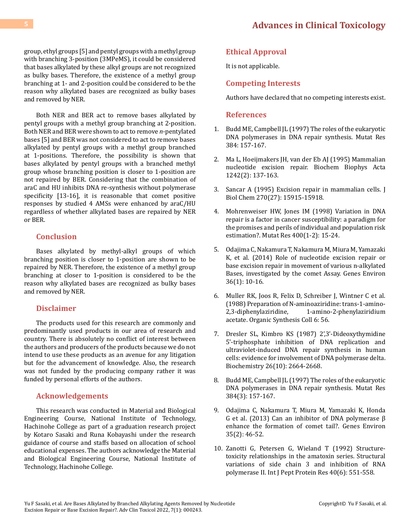group, ethyl groups [5] and pentyl groups with a methyl group with branching 3-position (3MPeMS), it could be considered that bases alkylated by these alkyl groups are not recognized as bulky bases. Therefore, the existence of a methyl group branching at 1- and 2-position could be considered to be the reason why alkylated bases are recognized as bulky bases and removed by NER.

Both NER and BER act to remove bases alkylated by pentyl groups with a methyl group branching at 2-position. Both NER and BER were shown to act to remove *n*-pentylated bases [5] and BER was not considered to act to remove bases alkylated by pentyl groups with a methyl group branched at 1-positions. Therefore, the possibility is shown that bases alkylated by pentyl groups with a branched methyl group whose branching position is closer to 1-position are not repaired by BER. Considering that the combination of araC and HU inhibits DNA re-synthesis without polymerase specificity [13-16], it is reasonable that comet positive responses by studied 4 AMSs were enhanced by araC/HU regardless of whether alkylated bases are repaired by NER or BER.

## **Conclusion**

Bases alkylated by methyl-alkyl groups of which branching position is closer to 1-position are shown to be repaired by NER. Therefore, the existence of a methyl group branching at closer to 1-position is considered to be the reason why alkylated bases are recognized as bulky bases and removed by NER.

## **Disclaimer**

The products used for this research are commonly and predominantly used products in our area of research and country. There is absolutely no conflict of interest between the authors and producers of the products because we do not intend to use these products as an avenue for any litigation but for the advancement of knowledge. Also, the research was not funded by the producing company rather it was funded by personal efforts of the authors.

### **Acknowledgements**

This research was conducted in Material and Biological Engineering Course, National Institute of Technology, Hachinohe College as part of a graduation research project by Kotaro Sasaki and Runa Kobayashi under the research guidance of course and staffs based on allocation of school educational expenses. The authors acknowledge the Material and Biological Engineering Course, National Institute of Technology, Hachinohe College.

# **Ethical Approval**

It is not applicable.

### **Competing Interests**

Authors have declared that no competing interests exist.

### **References**

- 1. [Budd ME, Campbell JL \(1997\) The roles of the eukaryotic](https://www.sciencedirect.com/science/article/abs/pii/S0921877797000244) [DNA polymerases in DNA repair synthesis. Mutat Res](https://www.sciencedirect.com/science/article/abs/pii/S0921877797000244) [384: 157-167.](https://www.sciencedirect.com/science/article/abs/pii/S0921877797000244)
- 2. [Ma L, Hoeijmakers JH, van der Eb AJ \(1995\) Mammalian](https://pubmed.ncbi.nlm.nih.gov/7492568/)  [nucleotide excision repair. Biochem Biophys Acta](https://pubmed.ncbi.nlm.nih.gov/7492568/)  [1242\(2\): 137-163.](https://pubmed.ncbi.nlm.nih.gov/7492568/)
- 3. Sancar A (1995) Excision repair in mammalian cells. J Biol Chem 270(27): 15915-15918.
- 4. [Mohrenweiser HW, Jones IM \(1998\) Variation in DNA](https://pubmed.ncbi.nlm.nih.gov/9685572/)  [repair is a factor in cancer susceptibility: a paradigm for](https://pubmed.ncbi.nlm.nih.gov/9685572/) [the promises and perils of individual and population risk](https://pubmed.ncbi.nlm.nih.gov/9685572/) [estimation?. Mutat Res 400\(1-2\): 15-24.](https://pubmed.ncbi.nlm.nih.gov/9685572/)
- 5. [Odajima C, Nakamura T, Nakamura M, Miura M, Yamazaki](https://cir.nii.ac.jp/crid/1390282680234154496)  [K, et al. \(2014\) Role of nucleotide excision repair or](https://cir.nii.ac.jp/crid/1390282680234154496) [base excision repair in movement of various n-alkylated](https://cir.nii.ac.jp/crid/1390282680234154496) [Bases, investigated by the comet Assay. Genes Environ](https://cir.nii.ac.jp/crid/1390282680234154496) [36\(1\): 10-16.](https://cir.nii.ac.jp/crid/1390282680234154496)
- 6. Muller RK, Joos R, Felix D, Schreiber J, Wintner C et al. (1988) Preparation of N-aminoaziridine: trans-1-amino-2,3-diphenylaziridine, 1-amino-2-phenylaziridium acetate. Organic Synthesis Coll 6: 56.
- 7. [Dresler SL, Kimbro KS \(1987\) 2',3'-Dideoxythymidine](https://pubmed.ncbi.nlm.nih.gov/3606985/) [5'-triphosphate inhibition of DNA replication and](https://pubmed.ncbi.nlm.nih.gov/3606985/) [ultraviolet-induced DNA repair synthesis in human](https://pubmed.ncbi.nlm.nih.gov/3606985/)  [cells: evidence for involvement of DNA polymerase delta.](https://pubmed.ncbi.nlm.nih.gov/3606985/)  [Biochemistry 26\(10\): 2664-2668.](https://pubmed.ncbi.nlm.nih.gov/3606985/)
- 8. [Budd ME, Campbell JL \(1997\) The roles of the eukaryotic](https://www.sciencedirect.com/science/article/abs/pii/S0921877797000244) [DNA polymerases in DNA repair synthesis. Mutat Res](https://www.sciencedirect.com/science/article/abs/pii/S0921877797000244) [384\(3\): 157-167.](https://www.sciencedirect.com/science/article/abs/pii/S0921877797000244)
- 9. [Odajima C, Nakamura T, Miura M, Yamazaki K, Honda](https://www.jstage.jst.go.jp/article/jemsge/35/2/35_ge-2012-0028/_article) [G et al. \(2013\) Can an inhibitor of DNA polymerase β](https://www.jstage.jst.go.jp/article/jemsge/35/2/35_ge-2012-0028/_article)  [enhance the formation of comet tail?. Genes Environ](https://www.jstage.jst.go.jp/article/jemsge/35/2/35_ge-2012-0028/_article) [35\(2\): 46-52.](https://www.jstage.jst.go.jp/article/jemsge/35/2/35_ge-2012-0028/_article)
- 10. [Zanotti G, Petersen G, Wieland T \(1992\) Structure](https://pubmed.ncbi.nlm.nih.gov/1286940/)[toxicity relationships in the amatoxin series. Structural](https://pubmed.ncbi.nlm.nih.gov/1286940/)  [variations of side chain 3 and inhibition of RNA](https://pubmed.ncbi.nlm.nih.gov/1286940/)  [polymerase II. Int J Pept Protein Res 40\(6\): 551-558.](https://pubmed.ncbi.nlm.nih.gov/1286940/)